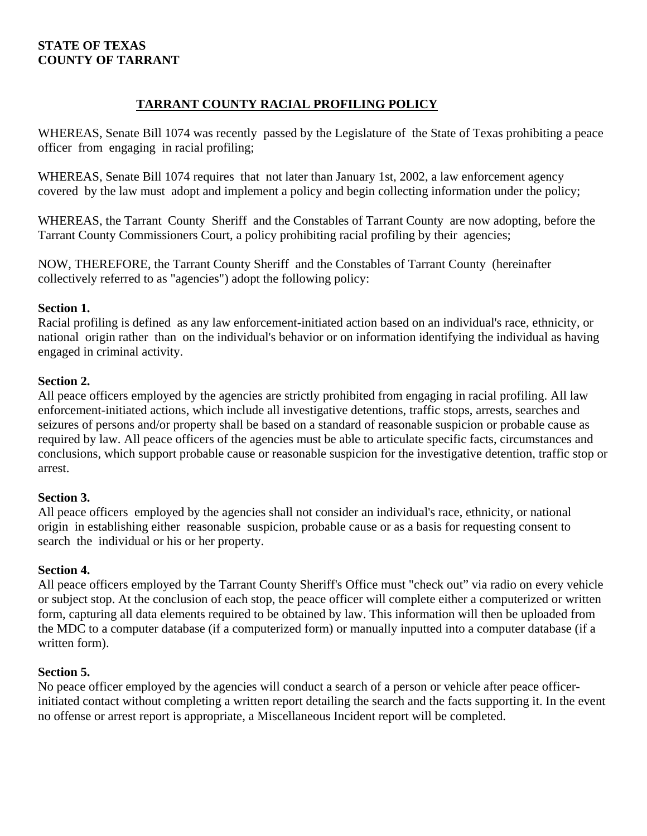### **STATE OF TEXAS COUNTY OF TARRANT**

# **TARRANT COUNTY RACIAL PROFILING POLICY**

WHEREAS, Senate Bill 1074 was recently passed by the Legislature of the State of Texas prohibiting a peace officer from engaging in racial profiling;

WHEREAS, Senate Bill 1074 requires that not later than January 1st, 2002, a law enforcement agency covered by the law must adopt and implement a policy and begin collecting information under the policy;

WHEREAS, the Tarrant County Sheriff and the Constables of Tarrant County are now adopting, before the Tarrant County Commissioners Court, a policy prohibiting racial profiling by their agencies;

NOW, THEREFORE, the Tarrant County Sheriff and the Constables of Tarrant County (hereinafter collectively referred to as "agencies") adopt the following policy:

#### **Section 1.**

Racial profiling is defined as any law enforcement-initiated action based on an individual's race, ethnicity, or national origin rather than on the individual's behavior or on information identifying the individual as having engaged in criminal activity.

#### **Section 2.**

All peace officers employed by the agencies are strictly prohibited from engaging in racial profiling. All law enforcement-initiated actions, which include all investigative detentions, traffic stops, arrests, searches and seizures of persons and/or property shall be based on a standard of reasonable suspicion or probable cause as required by law. All peace officers of the agencies must be able to articulate specific facts, circumstances and conclusions, which support probable cause or reasonable suspicion for the investigative detention, traffic stop or arrest.

### **Section 3.**

All peace officers employed by the agencies shall not consider an individual's race, ethnicity, or national origin in establishing either reasonable suspicion, probable cause or as a basis for requesting consent to search the individual or his or her property.

### **Section 4.**

All peace officers employed by the Tarrant County Sheriff's Office must "check out" via radio on every vehicle or subject stop. At the conclusion of each stop, the peace officer will complete either a computerized or written form, capturing all data elements required to be obtained by law. This information will then be uploaded from the MDC to a computer database (if a computerized form) or manually inputted into a computer database (if a written form).

### **Section 5.**

No peace officer employed by the agencies will conduct a search of a person or vehicle after peace officerinitiated contact without completing a written report detailing the search and the facts supporting it. In the event no offense or arrest report is appropriate, a Miscellaneous Incident report will be completed.